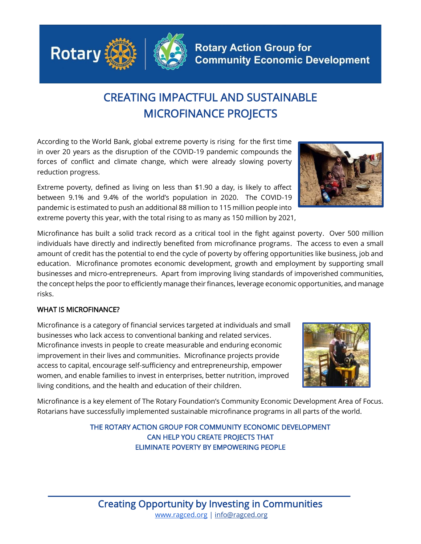

## CREATING IMPACTFUL AND SUSTAINABLE MICROFINANCE PROJECTS

**Rotary Action Group for** 

**Community Economic Development** 

According to the World Bank, global extreme poverty is rising for the first time in over 20 years as the disruption of the COVID-19 pandemic compounds the forces of conflict and climate change, which were already slowing poverty reduction progress.

Extreme poverty, defined as living on less than \$1.90 a day, is likely to affect between 9.1% and 9.4% of the world's population in 2020. The COVID-19 pandemic is estimated to push an additional 88 million to 115 million people into extreme poverty this year, with the total rising to as many as 150 million by 2021,

Microfinance has built a solid track record as a critical tool in the fight against poverty. Over 500 million individuals have directly and indirectly benefited from microfinance programs. The access to even a small amount of credit has the potential to end the cycle of poverty by offering opportunities like business, job and education. Microfinance promotes economic development, growth and employment by supporting small businesses and micro-entrepreneurs. Apart from improving living standards of impoverished communities, the concept helps the poor to efficiently manage their finances, leverage economic opportunities, and manage risks.

## WHAT IS MICROFINANCE?

Microfinance is a category of financial services targeted at individuals and small businesses who lack access to conventional banking and related services. Microfinance invests in people to create measurable and enduring economic improvement in their lives and communities. Microfinance projects provide access to capital, encourage self-sufficiency and entrepreneurship, empower women, and enable families to invest in enterprises, better nutrition, improved living conditions, and the health and education of their children.

Microfinance is a key element of The Rotary Foundation's Community Economic Development Area of Focus. Rotarians have successfully implemented sustainable microfinance programs in all parts of the world.

> THE ROTARY ACTION GROUP FOR COMMUNITY ECONOMIC DEVELOPMENT CAN HELP YOU CREATE PROJECTS THAT ELIMINATE POVERTY BY EMPOWERING PEOPLE